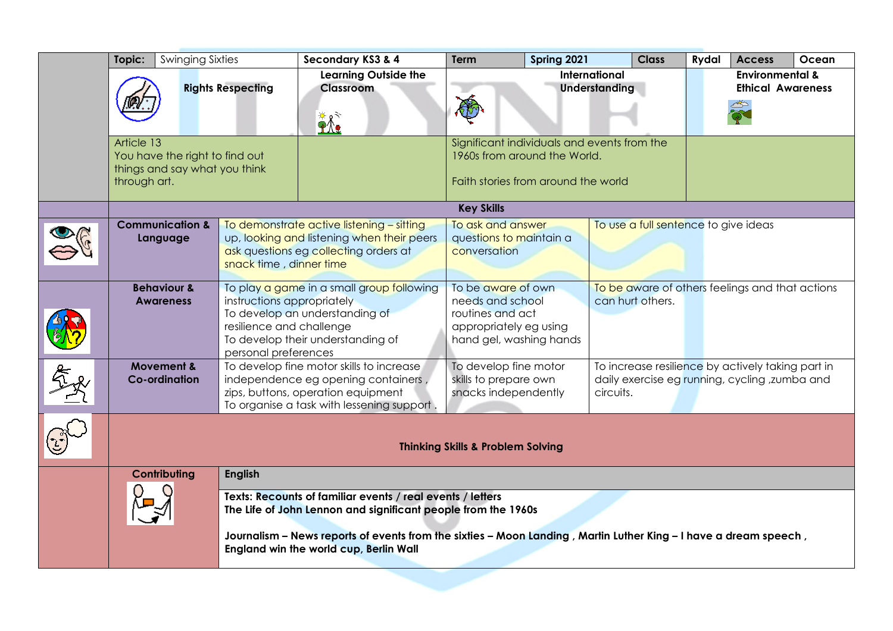|   | <b>Swinging Sixties</b><br>Topic:                                                                                                                                                                                                                                                         |                                            |                                                                                | Secondary KS3 & 4                                                                                                                                                   | <b>Term</b>                                                                                                                                                                               | Spring 2021 | <b>Class</b>                                           | <b>Rydal</b> | <b>Access</b>                                   | Ocean |
|---|-------------------------------------------------------------------------------------------------------------------------------------------------------------------------------------------------------------------------------------------------------------------------------------------|--------------------------------------------|--------------------------------------------------------------------------------|---------------------------------------------------------------------------------------------------------------------------------------------------------------------|-------------------------------------------------------------------------------------------------------------------------------------------------------------------------------------------|-------------|--------------------------------------------------------|--------------|-------------------------------------------------|-------|
|   | <b>Rights Respecting</b>                                                                                                                                                                                                                                                                  |                                            |                                                                                | <b>Learning Outside the</b><br>Classroom<br>$\mathbf{\hat{M}}$                                                                                                      | <b>International</b><br>Understanding                                                                                                                                                     |             | <b>Environmental &amp;</b><br><b>Ethical Awareness</b> |              |                                                 |       |
|   | Article 13<br>You have the right to find out<br>things and say what you think<br>through art.                                                                                                                                                                                             |                                            |                                                                                |                                                                                                                                                                     | Significant individuals and events from the<br>1960s from around the World.<br>Faith stories from around the world                                                                        |             |                                                        |              |                                                 |       |
|   |                                                                                                                                                                                                                                                                                           |                                            |                                                                                | <b>Key Skills</b>                                                                                                                                                   |                                                                                                                                                                                           |             |                                                        |              |                                                 |       |
|   | <b>Communication &amp;</b><br>Language<br>snack time, dinner time                                                                                                                                                                                                                         |                                            |                                                                                | To demonstrate active listening - sitting<br>up, looking and listening when their peers<br>ask questions eg collecting orders at                                    | To ask and answer<br>questions to maintain a<br>conversation                                                                                                                              |             | To use a full sentence to give ideas                   |              |                                                 |       |
|   |                                                                                                                                                                                                                                                                                           | <b>Behaviour &amp;</b><br><b>Awareness</b> | instructions appropriately<br>resilience and challenge<br>personal preferences | To play a game in a small group following<br>To develop an understanding of<br>To develop their understanding of                                                    | To be aware of own<br>needs and school<br>routines and act<br>appropriately eg using<br>hand gel, washing hands                                                                           |             | can hurt others.                                       |              | To be aware of others feelings and that actions |       |
| ⋟ | <b>Movement &amp;</b><br><b>Co-ordination</b>                                                                                                                                                                                                                                             |                                            |                                                                                | To develop fine motor skills to increase<br>independence eg opening containers,<br>zips, buttons, operation equipment<br>To organise a task with lessening support. | To develop fine motor<br>To increase resilience by actively taking part in<br>skills to prepare own<br>daily exercise eg running, cycling, zumba and<br>snacks independently<br>circuits. |             |                                                        |              |                                                 |       |
|   | <b>Thinking Skills &amp; Problem Solving</b>                                                                                                                                                                                                                                              |                                            |                                                                                |                                                                                                                                                                     |                                                                                                                                                                                           |             |                                                        |              |                                                 |       |
|   |                                                                                                                                                                                                                                                                                           | Contributing<br><b>English</b>             |                                                                                |                                                                                                                                                                     |                                                                                                                                                                                           |             |                                                        |              |                                                 |       |
|   | Texts: Recounts of familiar events / real events / letters<br>The Life of John Lennon and significant people from the 1960s<br>Journalism – News reports of events from the sixties – Moon Landing, Martin Luther King – I have a dream speech,<br>England win the world cup, Berlin Wall |                                            |                                                                                |                                                                                                                                                                     |                                                                                                                                                                                           |             |                                                        |              |                                                 |       |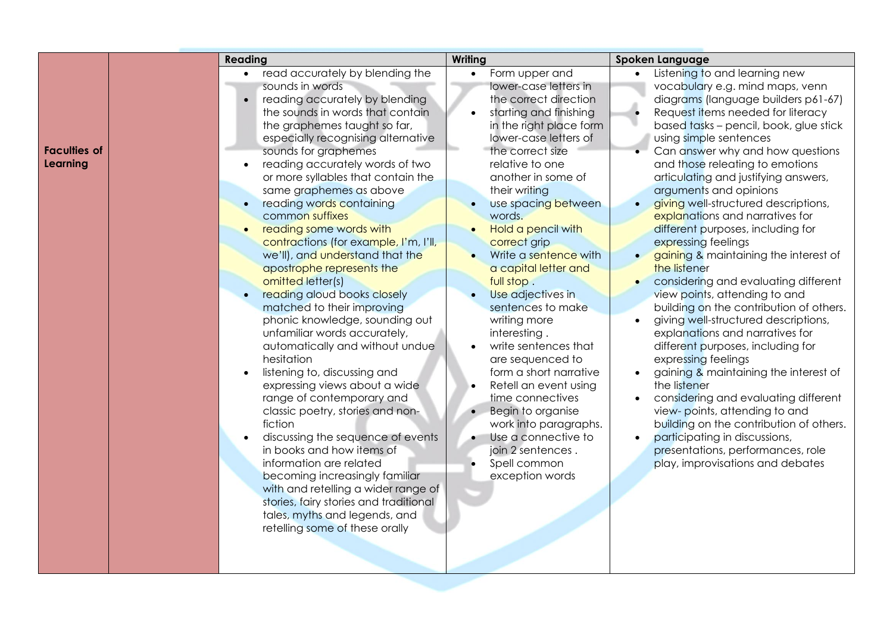|                     | Reading |                                              | Writing                 | Spoken Language                                    |  |  |
|---------------------|---------|----------------------------------------------|-------------------------|----------------------------------------------------|--|--|
|                     |         | • read accurately by blending the            | Form upper and          | Listening to and learning new<br>$\bullet$         |  |  |
|                     |         | sounds in words                              | lower-case letters in   | vocabulary e.g. mind maps, venn                    |  |  |
|                     |         | reading accurately by blending<br>$\bullet$  | the correct direction   | diagrams (language builders p61-67)                |  |  |
|                     |         | the sounds in words that contain             | starting and finishing  | Request items needed for literacy<br>$\bullet$     |  |  |
|                     |         | the graphemes taught so far,                 | in the right place form | based tasks - pencil, book, glue stick             |  |  |
|                     |         | especially recognising alternative           | lower-case letters of   | using simple sentences                             |  |  |
| <b>Faculties of</b> |         | sounds for graphemes                         | the correct size        | Can answer why and how questions                   |  |  |
| Learning            |         | reading accurately words of two<br>$\bullet$ | relative to one         | and those releating to emotions                    |  |  |
|                     |         | or more syllables that contain the           | another in some of      | articulating and justifying answers,               |  |  |
|                     |         | same graphemes as above                      | their writing           | arguments and opinions                             |  |  |
|                     |         | reading words containing                     | use spacing between     | giving well-structured descriptions,<br>$\bullet$  |  |  |
|                     |         | common suffixes                              | words.                  | explanations and narratives for                    |  |  |
|                     |         | reading some words with                      | Hold a pencil with      | different purposes, including for                  |  |  |
|                     |         | contractions (for example, I'm, I'll,        | correct grip            | expressing feelings                                |  |  |
|                     |         | we'll), and understand that the              | Write a sentence with   | gaining & maintaining the interest of              |  |  |
|                     |         | apostrophe represents the                    | a capital letter and    | the listener                                       |  |  |
|                     |         | omitted letter(s)                            | full stop.              | considering and evaluating different               |  |  |
|                     |         | reading aloud books closely                  | Use adjectives in       | view points, attending to and                      |  |  |
|                     |         | matched to their improving                   | sentences to make       | building on the contribution of others.            |  |  |
|                     |         | phonic knowledge, sounding out               | writing more            | giving well-structured descriptions,<br>$\bullet$  |  |  |
|                     |         | unfamiliar words accurately,                 | interesting.            | explanations and narratives for                    |  |  |
|                     |         | automatically and without undue              | write sentences that    | different purposes, including for                  |  |  |
|                     |         | hesitation                                   | are sequenced to        | expressing feelings                                |  |  |
|                     |         | listening to, discussing and<br>$\bullet$    | form a short narrative  | gaining & maintaining the interest of<br>$\bullet$ |  |  |
|                     |         | expressing views about a wide                | Retell an event using   | the listener                                       |  |  |
|                     |         | range of contemporary and                    | time connectives        | considering and evaluating different<br>$\bullet$  |  |  |
|                     |         | classic poetry, stories and non-             | Begin to organise       | view- points, attending to and                     |  |  |
|                     |         | fiction                                      | work into paragraphs.   | building on the contribution of others.            |  |  |
|                     |         | discussing the sequence of events            | Use a connective to     | participating in discussions,<br>$\bullet$         |  |  |
|                     |         | in books and how items of                    | join 2 sentences.       | presentations, performances, role                  |  |  |
|                     |         | information are related                      | Spell common            | play, improvisations and debates                   |  |  |
|                     |         | becoming increasingly familiar               | exception words         |                                                    |  |  |
|                     |         | with and retelling a wider range of          |                         |                                                    |  |  |
|                     |         | stories, fairy stories and traditional       |                         |                                                    |  |  |
|                     |         | tales, myths and legends, and                |                         |                                                    |  |  |
|                     |         | retelling some of these orally               |                         |                                                    |  |  |
|                     |         |                                              |                         |                                                    |  |  |
|                     |         |                                              |                         |                                                    |  |  |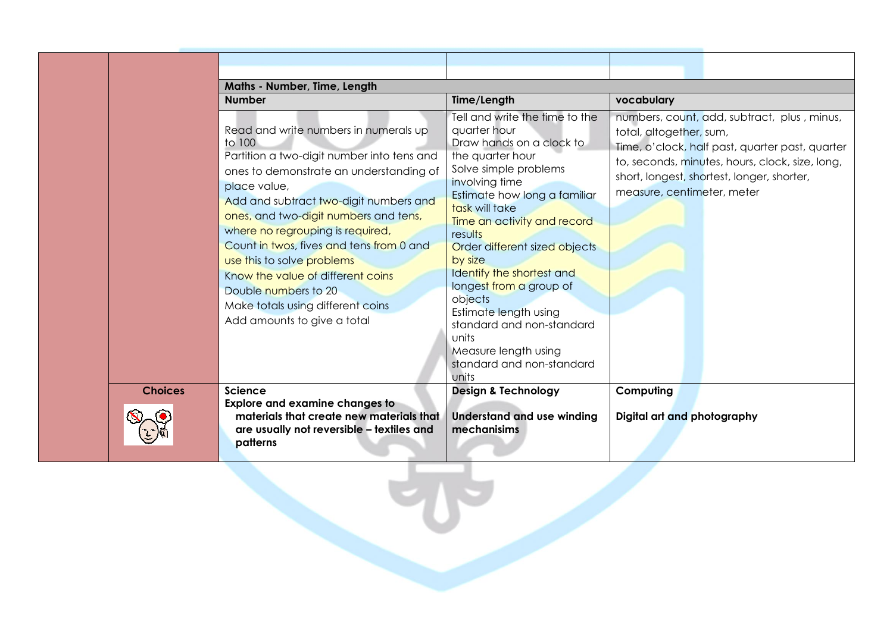|                | Maths - Number, Time, Length                                                                                                                                                                                                                                                                                                                                                                                                                                                               |                                                                                                                                                                                                                                                                                                                                                                                                                                                                                   |                                                                                                                                                                                                                                                          |  |  |  |
|----------------|--------------------------------------------------------------------------------------------------------------------------------------------------------------------------------------------------------------------------------------------------------------------------------------------------------------------------------------------------------------------------------------------------------------------------------------------------------------------------------------------|-----------------------------------------------------------------------------------------------------------------------------------------------------------------------------------------------------------------------------------------------------------------------------------------------------------------------------------------------------------------------------------------------------------------------------------------------------------------------------------|----------------------------------------------------------------------------------------------------------------------------------------------------------------------------------------------------------------------------------------------------------|--|--|--|
|                | <b>Number</b>                                                                                                                                                                                                                                                                                                                                                                                                                                                                              | Time/Length                                                                                                                                                                                                                                                                                                                                                                                                                                                                       | vocabulary                                                                                                                                                                                                                                               |  |  |  |
|                | Read and write numbers in numerals up<br>to 100<br>Partition a two-digit number into tens and<br>ones to demonstrate an understanding of<br>place value,<br>Add and subtract two-digit numbers and<br>ones, and two-digit numbers and tens,<br>where no regrouping is required,<br>Count in twos, fives and tens from 0 and<br>use this to solve problems<br>Know the value of different coins<br>Double numbers to 20<br>Make totals using different coins<br>Add amounts to give a total | Tell and write the time to the<br>quarter hour<br>Draw hands on a clock to<br>the quarter hour<br>Solve simple problems<br>involving time<br>Estimate how long a familiar<br>task will take<br>Time an activity and record<br>results<br>Order different sized objects<br>by size<br>Identify the shortest and<br>longest from a group of<br>objects<br>Estimate length using<br>standard and non-standard<br>units<br>Measure length using<br>standard and non-standard<br>units | numbers, count, add, subtract, plus, minus,<br>total, altogether, sum,<br>Time, o'clock, half past, quarter past, quarter<br>to, seconds, minutes, hours, clock, size, long,<br>short, longest, shortest, longer, shorter,<br>measure, centimeter, meter |  |  |  |
| <b>Choices</b> | <b>Science</b>                                                                                                                                                                                                                                                                                                                                                                                                                                                                             | <b>Design &amp; Technology</b>                                                                                                                                                                                                                                                                                                                                                                                                                                                    | Computing                                                                                                                                                                                                                                                |  |  |  |
|                | <b>Explore and examine changes to</b><br>materials that create new materials that<br>are usually not reversible - textiles and<br>patterns                                                                                                                                                                                                                                                                                                                                                 | <b>Understand and use winding</b><br>mechanisims                                                                                                                                                                                                                                                                                                                                                                                                                                  | Digital art and photography                                                                                                                                                                                                                              |  |  |  |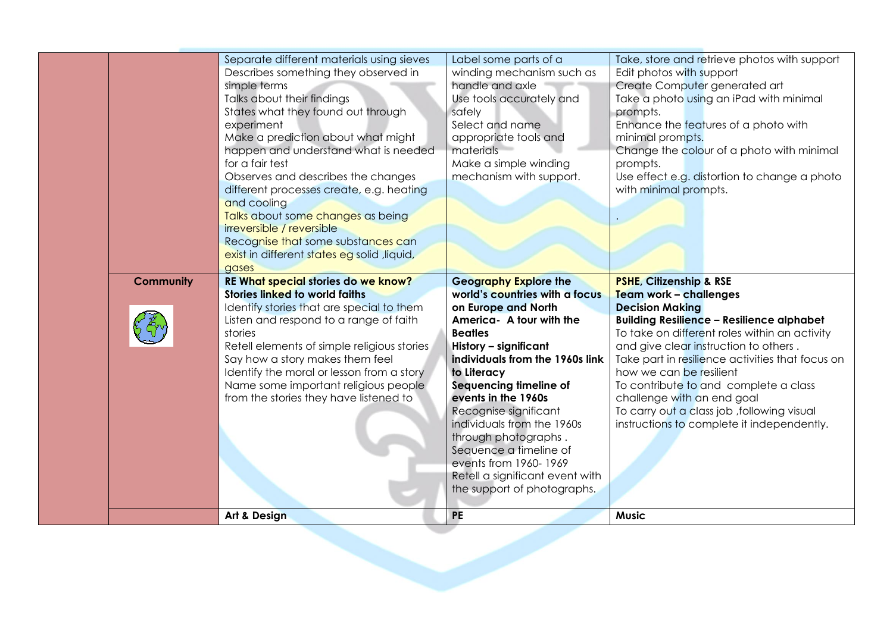|                  | Separate different materials using sieves<br>Describes something they observed in<br>simple terms<br>Talks about their findings<br>States what they found out through<br>experiment<br>Make a prediction about what might<br>happen and understand what is needed<br>for a fair test<br>Observes and describes the changes<br>different processes create, e.g. heating<br>and cooling<br>Talks about some changes as being<br>irreversible / reversible<br>Recognise that some substances can<br>exist in different states eg solid, liquid,<br>gases | Label some parts of a<br>winding mechanism such as<br>handle and axle<br>Use tools accurately and<br>safely<br>Select and name<br>appropriate tools and<br>materials<br>Make a simple winding<br>mechanism with support. | Take, store and retrieve photos with support<br>Edit photos with support<br>Create Computer generated art<br>Take a photo using an iPad with minimal<br>prompts.<br>Enhance the features of a photo with<br>minimal prompts.<br>Change the colour of a photo with minimal<br>prompts.<br>Use effect e.g. distortion to change a photo<br>with minimal prompts. |
|------------------|-------------------------------------------------------------------------------------------------------------------------------------------------------------------------------------------------------------------------------------------------------------------------------------------------------------------------------------------------------------------------------------------------------------------------------------------------------------------------------------------------------------------------------------------------------|--------------------------------------------------------------------------------------------------------------------------------------------------------------------------------------------------------------------------|----------------------------------------------------------------------------------------------------------------------------------------------------------------------------------------------------------------------------------------------------------------------------------------------------------------------------------------------------------------|
|                  |                                                                                                                                                                                                                                                                                                                                                                                                                                                                                                                                                       |                                                                                                                                                                                                                          |                                                                                                                                                                                                                                                                                                                                                                |
|                  |                                                                                                                                                                                                                                                                                                                                                                                                                                                                                                                                                       |                                                                                                                                                                                                                          |                                                                                                                                                                                                                                                                                                                                                                |
| <b>Community</b> | RE What special stories do we know?<br>Stories linked to world faiths<br>Identify stories that are special to them                                                                                                                                                                                                                                                                                                                                                                                                                                    | <b>Geography Explore the</b><br>world's countries with a focus<br>on Europe and North                                                                                                                                    | <b>PSHE, Citizenship &amp; RSE</b><br>Team work - challenges<br><b>Decision Making</b>                                                                                                                                                                                                                                                                         |
|                  | Listen and respond to a range of faith<br>stories                                                                                                                                                                                                                                                                                                                                                                                                                                                                                                     | America- A tour with the<br><b>Beatles</b>                                                                                                                                                                               | <b>Building Resilience - Resilience alphabet</b><br>To take on different roles within an activity                                                                                                                                                                                                                                                              |
|                  | Retell elements of simple religious stories<br>Say how a story makes them feel<br>Identify the moral or lesson from a story                                                                                                                                                                                                                                                                                                                                                                                                                           | History - significant<br>individuals from the 1960s link<br>to Literacy                                                                                                                                                  | and give clear instruction to others.<br>Take part in resilience activities that focus on<br>how we can be resilient                                                                                                                                                                                                                                           |
|                  | Name some important religious people<br>from the stories they have listened to                                                                                                                                                                                                                                                                                                                                                                                                                                                                        | Sequencing timeline of<br>events in the 1960s<br>Recognise significant<br>individuals from the 1960s                                                                                                                     | To contribute to and complete a class<br>challenge with an end goal<br>To carry out a class job, following visual<br>instructions to complete it independently.                                                                                                                                                                                                |
|                  |                                                                                                                                                                                                                                                                                                                                                                                                                                                                                                                                                       | through photographs.<br>Sequence a timeline of<br>events from 1960-1969<br>Retell a significant event with                                                                                                               |                                                                                                                                                                                                                                                                                                                                                                |
|                  | Art & Design                                                                                                                                                                                                                                                                                                                                                                                                                                                                                                                                          | the support of photographs.<br><b>PE</b>                                                                                                                                                                                 | <b>Music</b>                                                                                                                                                                                                                                                                                                                                                   |
|                  |                                                                                                                                                                                                                                                                                                                                                                                                                                                                                                                                                       |                                                                                                                                                                                                                          |                                                                                                                                                                                                                                                                                                                                                                |